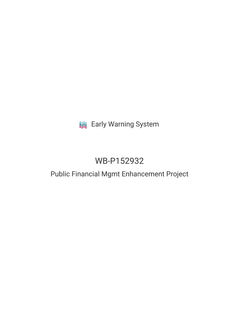# **III** Early Warning System

# WB-P152932

### Public Financial Mgmt Enhancement Project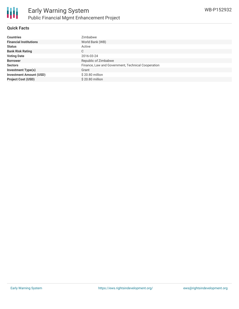

#### **Quick Facts**

| <b>Countries</b>               | Zimbabwe                                           |
|--------------------------------|----------------------------------------------------|
| <b>Financial Institutions</b>  | World Bank (WB)                                    |
| <b>Status</b>                  | Active                                             |
| <b>Bank Risk Rating</b>        | С                                                  |
| <b>Voting Date</b>             | 2016-03-24                                         |
| <b>Borrower</b>                | Republic of Zimbabwe                               |
| <b>Sectors</b>                 | Finance, Law and Government, Technical Cooperation |
| <b>Investment Type(s)</b>      | Grant                                              |
| <b>Investment Amount (USD)</b> | \$20.80 million                                    |
| <b>Project Cost (USD)</b>      | \$20.80 million                                    |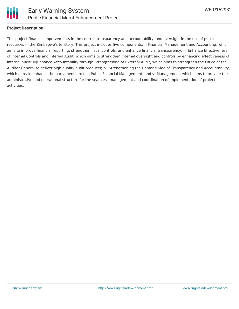

#### **Project Description**

This project finances improvements in the control, transparency and accountability, and oversight in the use of public resources in the Zimbabwe's territory. This project includes five components: i) Financial Management and Accounting, which aims to improve financial reporting, strengthen fiscal controls, and enhance financial transparency; ii) Enhance Effectiveness of Internal Controls and Internal Audit, which aims to strengthen internal oversight and controls by enhancing effectiveness of internal audit; iii)Enhance Accountability through Strengthening of External Audit, which aims to strengthen the Office of the Auditor General to deliver high quality audit products; iv) Strengthening the Demand Side of Transparency and Accountability, which aims to enhance the parliament's role in Public Financial Management; and v) Management, which aims to provide the administrative and operational structure for the seamless management and coordination of implementation of project activities.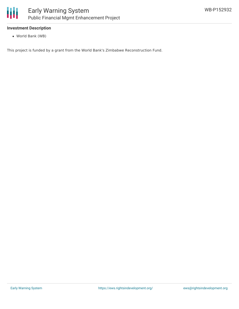

#### **Investment Description**

World Bank (WB)

This project is funded by a grant from the World Bank's Zimbabwe Reconstruction Fund.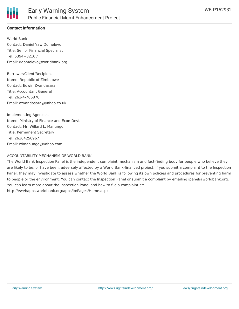

#### **Contact Information**

World Bank Contact: Daniel Yaw Domelevo Title: Senior Financial Specialist Tel: 5394+3210 / Email: ddomelevo@worldbank.org

Borrower/Client/Recipient Name: Republic of Zimbabwe Contact: Edwin Zvandasara Title: Accountant General Tel: 263-4-706870 Email: ezvandasara@yahoo.co.uk

Implementing Agencies Name: Ministry of Finance and Econ Devt Contact: Mr. Willard L. Manungo Title: Permanent Secretary Tel: 26304250967 Email: wlmanungo@yahoo.com

#### ACCOUNTABILITY MECHANISM OF WORLD BANK

The World Bank Inspection Panel is the independent complaint mechanism and fact-finding body for people who believe they are likely to be, or have been, adversely affected by a World Bank-financed project. If you submit a complaint to the Inspection Panel, they may investigate to assess whether the World Bank is following its own policies and procedures for preventing harm to people or the environment. You can contact the Inspection Panel or submit a complaint by emailing ipanel@worldbank.org. You can learn more about the Inspection Panel and how to file a complaint at: http://ewebapps.worldbank.org/apps/ip/Pages/Home.aspx.